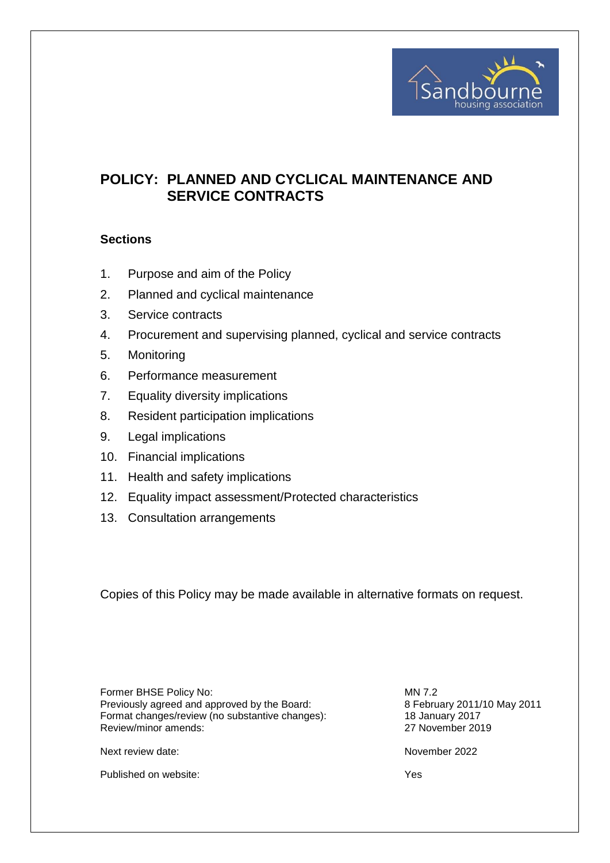

# **POLICY: PLANNED AND CYCLICAL MAINTENANCE AND SERVICE CONTRACTS**

## **Sections**

- 1. Purpose and aim of the Policy
- 2. Planned and cyclical maintenance
- 3. Service contracts
- 4. Procurement and supervising planned, cyclical and service contracts
- 5. Monitoring
- 6. Performance measurement
- 7. Equality diversity implications
- 8. Resident participation implications
- 9. Legal implications
- 10. Financial implications
- 11. Health and safety implications
- 12. Equality impact assessment/Protected characteristics
- 13. Consultation arrangements

Copies of this Policy may be made available in alternative formats on request.

Former BHSE Policy No: MN 7.2 Previously agreed and approved by the Board: 8 February 2011/10 May 2011 Format changes/review (no substantive changes): 18 January 2017 Review/minor amends: 27 November 2019

Next review date:  $\blacksquare$ 

Published on website:  $Y$ es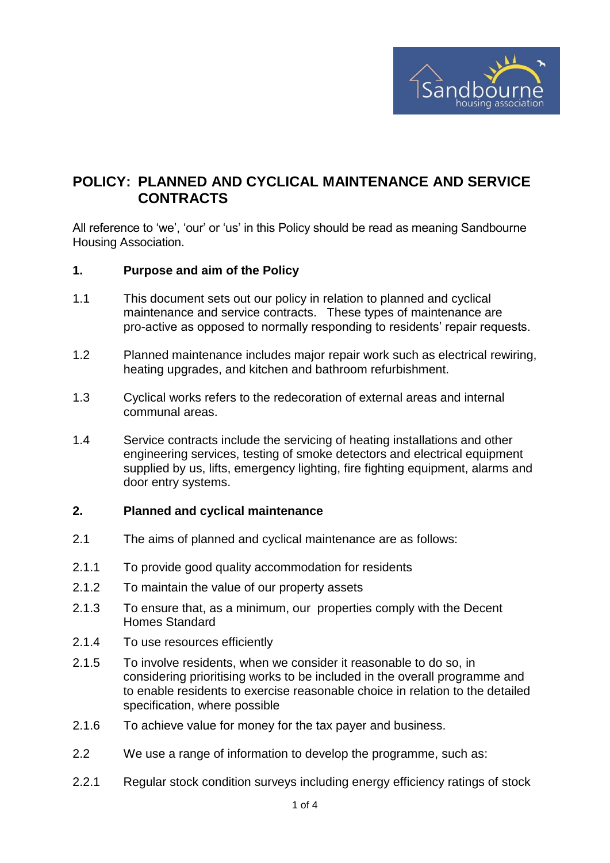

## **POLICY: PLANNED AND CYCLICAL MAINTENANCE AND SERVICE CONTRACTS**

All reference to 'we', 'our' or 'us' in this Policy should be read as meaning Sandbourne Housing Association.

#### **1. Purpose and aim of the Policy**

- 1.1 This document sets out our policy in relation to planned and cyclical maintenance and service contracts. These types of maintenance are pro-active as opposed to normally responding to residents' repair requests.
- 1.2 Planned maintenance includes major repair work such as electrical rewiring, heating upgrades, and kitchen and bathroom refurbishment.
- 1.3 Cyclical works refers to the redecoration of external areas and internal communal areas.
- 1.4 Service contracts include the servicing of heating installations and other engineering services, testing of smoke detectors and electrical equipment supplied by us, lifts, emergency lighting, fire fighting equipment, alarms and door entry systems.

#### **2. Planned and cyclical maintenance**

- 2.1 The aims of planned and cyclical maintenance are as follows:
- 2.1.1 To provide good quality accommodation for residents
- 2.1.2 To maintain the value of our property assets
- 2.1.3 To ensure that, as a minimum, our properties comply with the Decent Homes Standard
- 2.1.4 To use resources efficiently
- 2.1.5 To involve residents, when we consider it reasonable to do so, in considering prioritising works to be included in the overall programme and to enable residents to exercise reasonable choice in relation to the detailed specification, where possible
- 2.1.6 To achieve value for money for the tax payer and business.
- 2.2 We use a range of information to develop the programme, such as:
- 2.2.1 Regular stock condition surveys including energy efficiency ratings of stock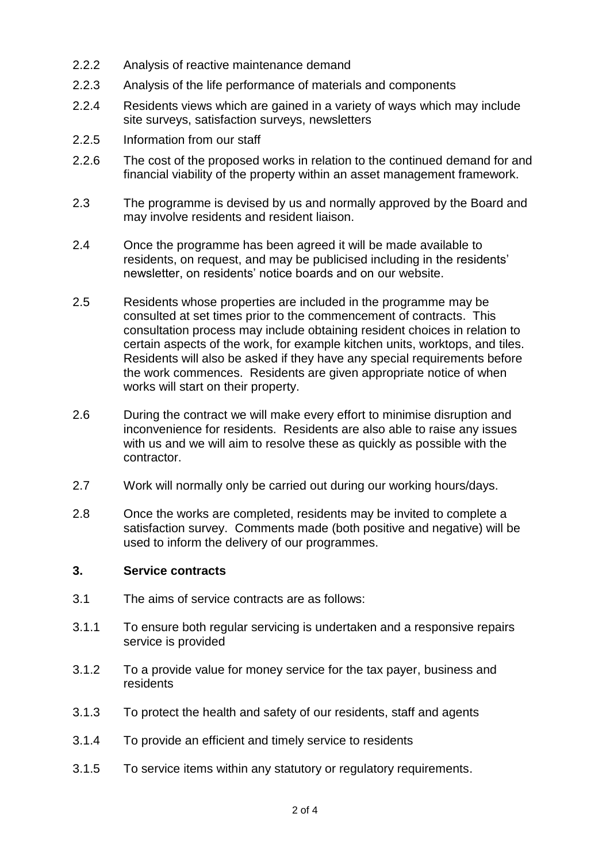- 2.2.2 Analysis of reactive maintenance demand
- 2.2.3 Analysis of the life performance of materials and components
- 2.2.4 Residents views which are gained in a variety of ways which may include site surveys, satisfaction surveys, newsletters
- 2.2.5 Information from our staff
- 2.2.6 The cost of the proposed works in relation to the continued demand for and financial viability of the property within an asset management framework.
- 2.3 The programme is devised by us and normally approved by the Board and may involve residents and resident liaison.
- 2.4 Once the programme has been agreed it will be made available to residents, on request, and may be publicised including in the residents' newsletter, on residents' notice boards and on our website.
- 2.5 Residents whose properties are included in the programme may be consulted at set times prior to the commencement of contracts. This consultation process may include obtaining resident choices in relation to certain aspects of the work, for example kitchen units, worktops, and tiles. Residents will also be asked if they have any special requirements before the work commences. Residents are given appropriate notice of when works will start on their property.
- 2.6 During the contract we will make every effort to minimise disruption and inconvenience for residents. Residents are also able to raise any issues with us and we will aim to resolve these as quickly as possible with the contractor.
- 2.7 Work will normally only be carried out during our working hours/days.
- 2.8 Once the works are completed, residents may be invited to complete a satisfaction survey. Comments made (both positive and negative) will be used to inform the delivery of our programmes.

#### **3. Service contracts**

- 3.1 The aims of service contracts are as follows:
- 3.1.1 To ensure both regular servicing is undertaken and a responsive repairs service is provided
- 3.1.2 To a provide value for money service for the tax payer, business and residents
- 3.1.3 To protect the health and safety of our residents, staff and agents
- 3.1.4 To provide an efficient and timely service to residents
- 3.1.5 To service items within any statutory or regulatory requirements.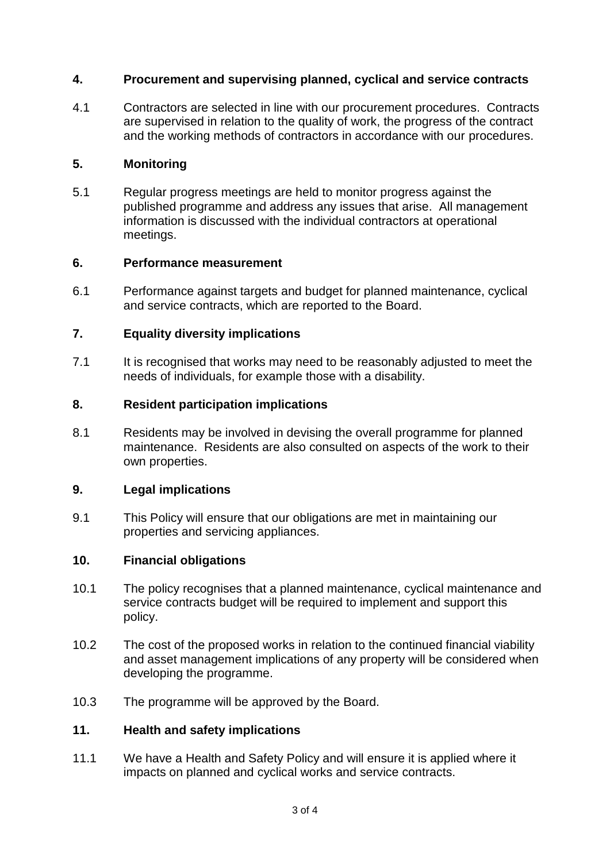## **4. Procurement and supervising planned, cyclical and service contracts**

4.1 Contractors are selected in line with our procurement procedures. Contracts are supervised in relation to the quality of work, the progress of the contract and the working methods of contractors in accordance with our procedures.

#### **5. Monitoring**

5.1 Regular progress meetings are held to monitor progress against the published programme and address any issues that arise. All management information is discussed with the individual contractors at operational meetings.

#### **6. Performance measurement**

6.1 Performance against targets and budget for planned maintenance, cyclical and service contracts, which are reported to the Board.

## **7. Equality diversity implications**

7.1 It is recognised that works may need to be reasonably adjusted to meet the needs of individuals, for example those with a disability.

#### **8. Resident participation implications**

8.1 Residents may be involved in devising the overall programme for planned maintenance. Residents are also consulted on aspects of the work to their own properties.

#### **9. Legal implications**

9.1 This Policy will ensure that our obligations are met in maintaining our properties and servicing appliances.

#### **10. Financial obligations**

- 10.1 The policy recognises that a planned maintenance, cyclical maintenance and service contracts budget will be required to implement and support this policy.
- 10.2 The cost of the proposed works in relation to the continued financial viability and asset management implications of any property will be considered when developing the programme.
- 10.3 The programme will be approved by the Board.

#### **11. Health and safety implications**

11.1 We have a Health and Safety Policy and will ensure it is applied where it impacts on planned and cyclical works and service contracts.